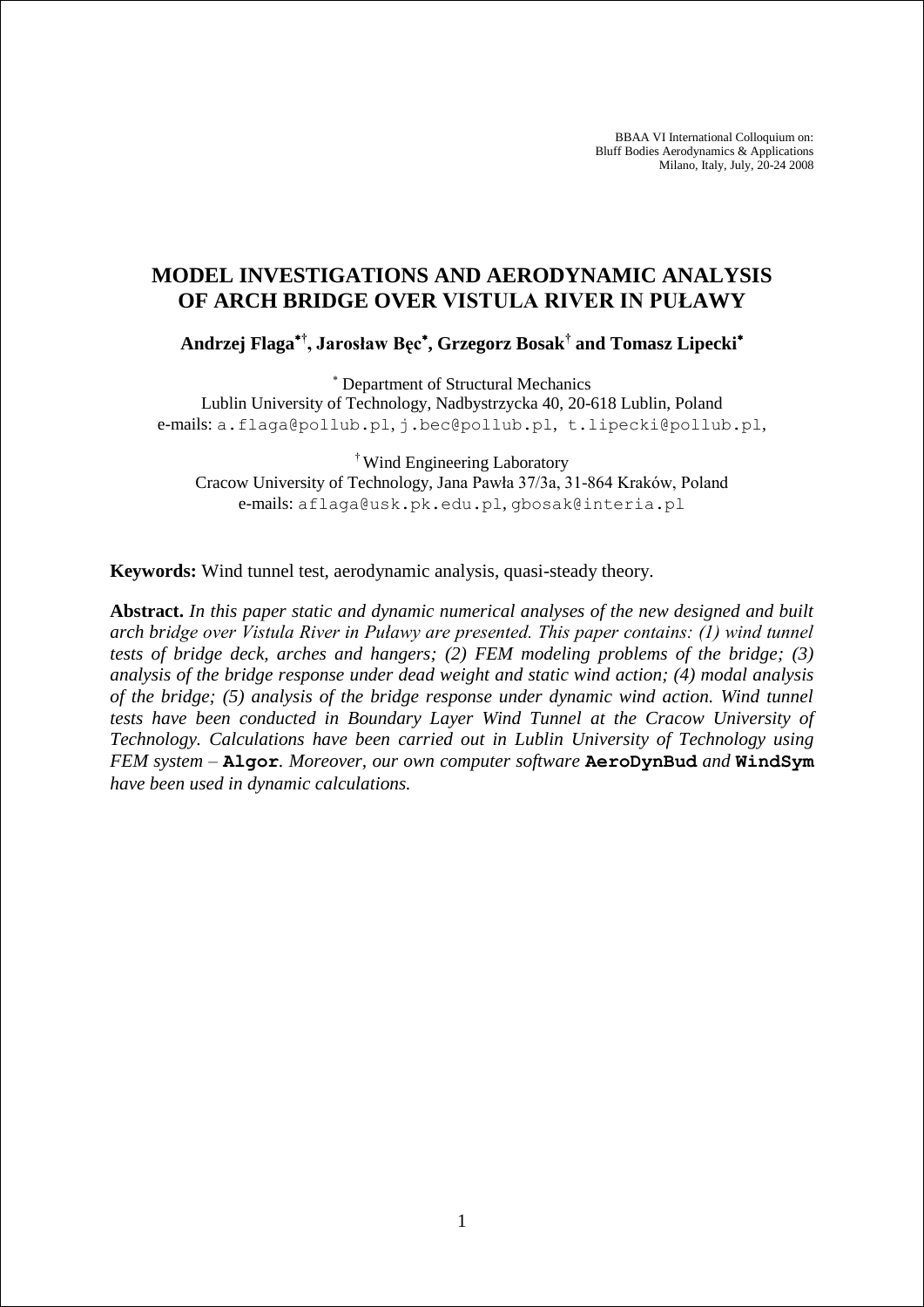BBAA VI International Colloquium on: Bluff Bodies Aerodynamics & Applications Milano, Italy, July, 20-24 2008

# **MODEL INVESTIGATIONS AND AERODYNAMIC ANALYSIS OF ARCH BRIDGE OVER VISTULA RIVER IN PUŁAWY**

**Andrzej Flaga† , Jarosław Bęc , Grzegorz Bosak† and Tomasz Lipecki**

Department of Structural Mechanics

Lublin University of Technology, Nadbystrzycka 40, 20-618 Lublin, Poland e-mails: a.flaga@pollub.pl, j.bec@pollub.pl, t.lipecki@pollub.pl,

† Wind Engineering Laboratory Cracow University of Technology, Jana Pawła 37/3a, 31-864 Kraków, Poland e-mails: aflaga@usk.pk.edu.pl, gbosak@interia.pl

**Keywords:** Wind tunnel test, aerodynamic analysis, quasi-steady theory.

**Abstract.** *In this paper static and dynamic numerical analyses of the new designed and built arch bridge over Vistula River in Puławy are presented. This paper contains: (1) wind tunnel tests of bridge deck, arches and hangers; (2) FEM modeling problems of the bridge; (3) analysis of the bridge response under dead weight and static wind action; (4) modal analysis of the bridge; (5) analysis of the bridge response under dynamic wind action. Wind tunnel tests have been conducted in Boundary Layer Wind Tunnel at the Cracow University of Technology. Calculations have been carried out in Lublin University of Technology using FEM system –* **Algor***. Moreover, our own computer software* **AeroDynBud** *and* **WindSym** *have been used in dynamic calculations.*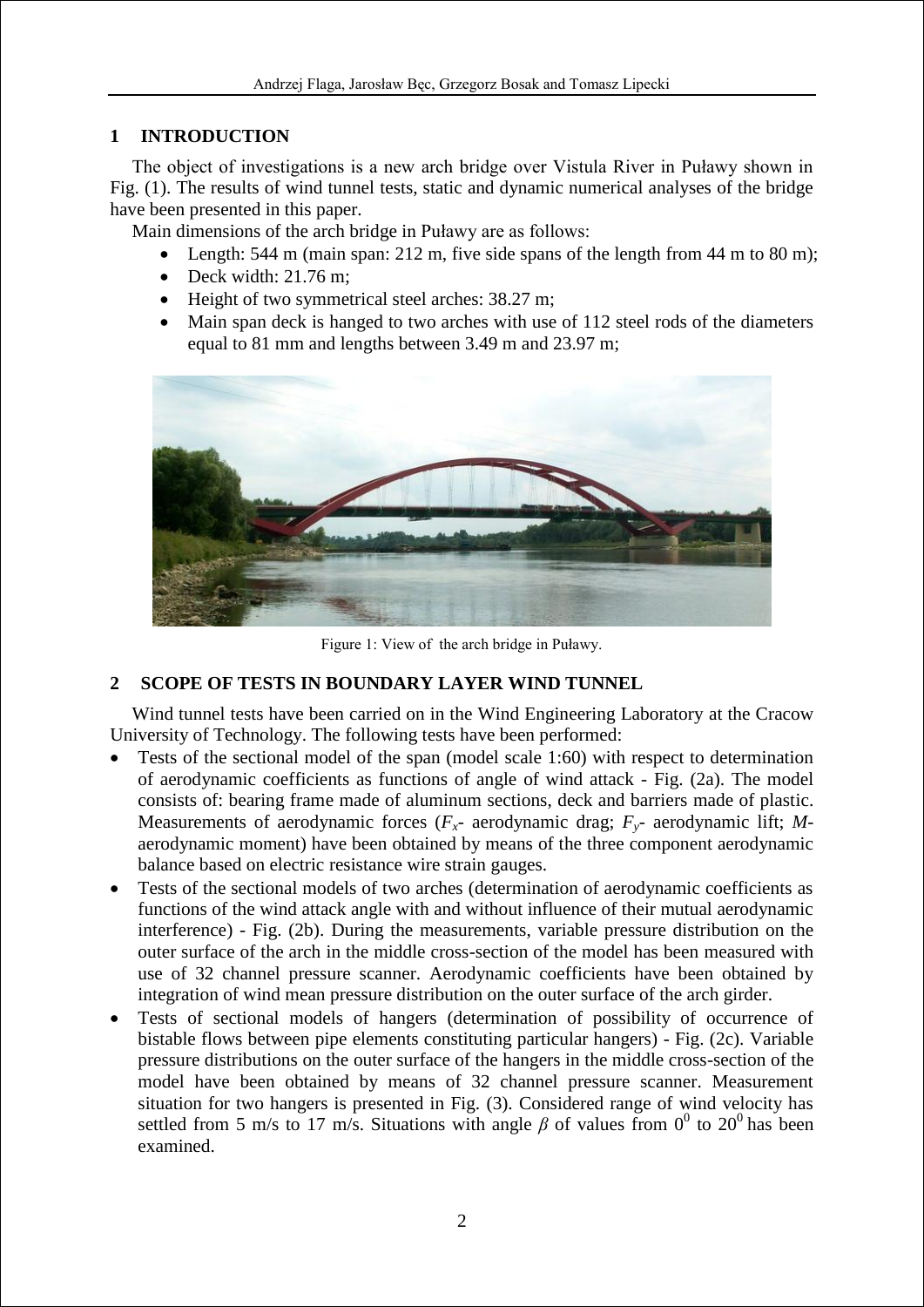## **1 INTRODUCTION**

The object of investigations is a new arch bridge over Vistula River in Puławy shown in Fig. (1). The results of wind tunnel tests, static and dynamic numerical analyses of the bridge have been presented in this paper.

Main dimensions of the arch bridge in Puławy are as follows:

- Length: 544 m (main span: 212 m, five side spans of the length from 44 m to 80 m);
- $\bullet$  Deck width: 21.76 m;
- Height of two symmetrical steel arches: 38.27 m;
- Main span deck is hanged to two arches with use of 112 steel rods of the diameters equal to 81 mm and lengths between 3.49 m and 23.97 m;



Figure 1: View of the arch bridge in Puławy.

# **2 SCOPE OF TESTS IN BOUNDARY LAYER WIND TUNNEL**

Wind tunnel tests have been carried on in the Wind Engineering Laboratory at the Cracow University of Technology. The following tests have been performed:

- Tests of the sectional model of the span (model scale 1:60) with respect to determination of aerodynamic coefficients as functions of angle of wind attack - Fig. (2a). The model consists of: bearing frame made of aluminum sections, deck and barriers made of plastic. Measurements of aerodynamic forces  $(F_x$ - aerodynamic drag;  $F_y$ - aerodynamic lift; *M*aerodynamic moment) have been obtained by means of the three component aerodynamic balance based on electric resistance wire strain gauges.
- Tests of the sectional models of two arches (determination of aerodynamic coefficients as functions of the wind attack angle with and without influence of their mutual aerodynamic interference) - Fig. (2b). During the measurements, variable pressure distribution on the outer surface of the arch in the middle cross-section of the model has been measured with use of 32 channel pressure scanner. Aerodynamic coefficients have been obtained by integration of wind mean pressure distribution on the outer surface of the arch girder.
- Tests of sectional models of hangers (determination of possibility of occurrence of bistable flows between pipe elements constituting particular hangers) - Fig. (2c). Variable pressure distributions on the outer surface of the hangers in the middle cross-section of the model have been obtained by means of 32 channel pressure scanner. Measurement situation for two hangers is presented in Fig. (3). Considered range of wind velocity has settled from 5 m/s to 17 m/s. Situations with angle  $\beta$  of values from 0<sup>0</sup> to 20<sup>0</sup> has been examined.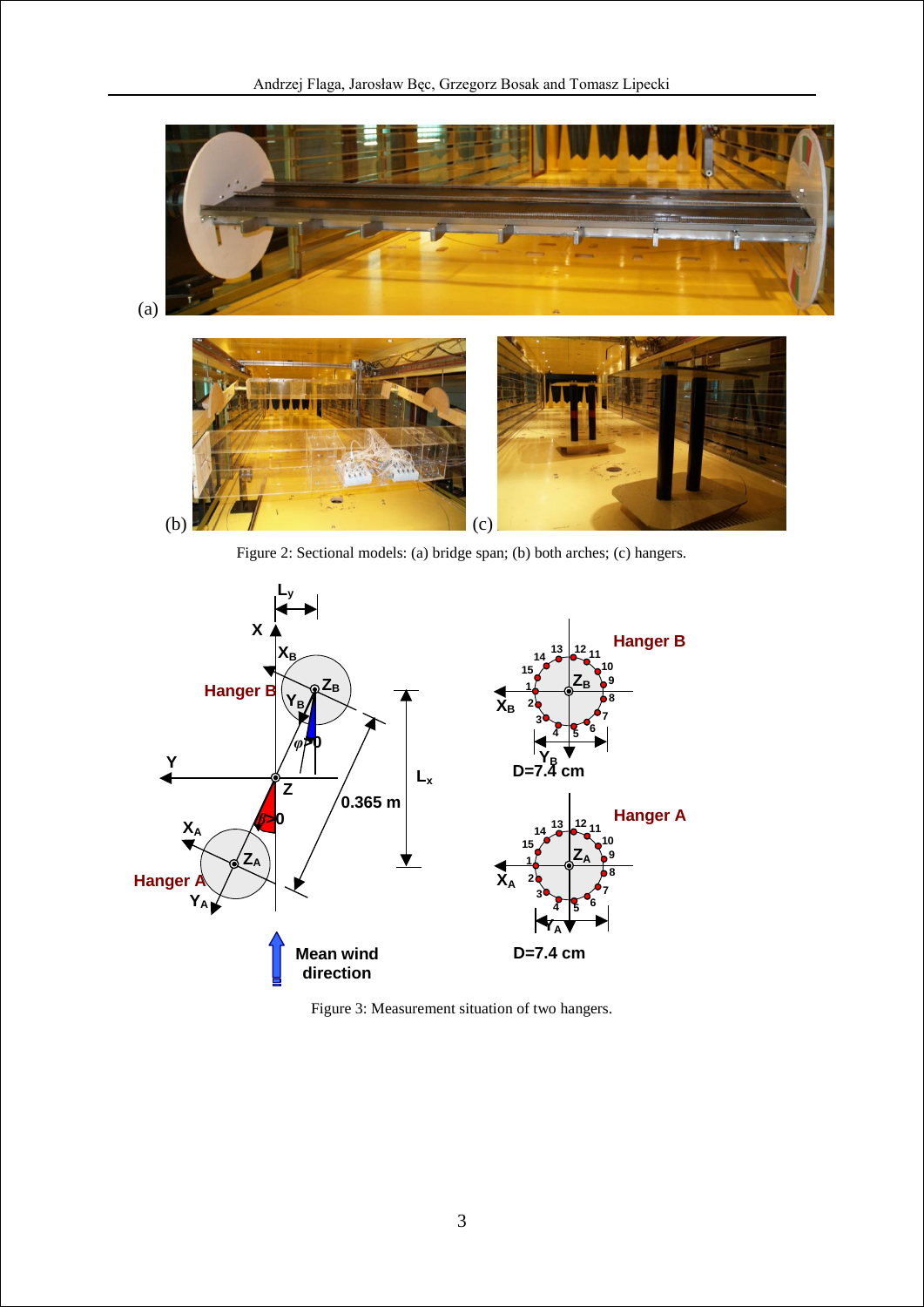

Figure 2: Sectional models: (a) bridge span; (b) both arches; (c) hangers.



Figure 3: Measurement situation of two hangers.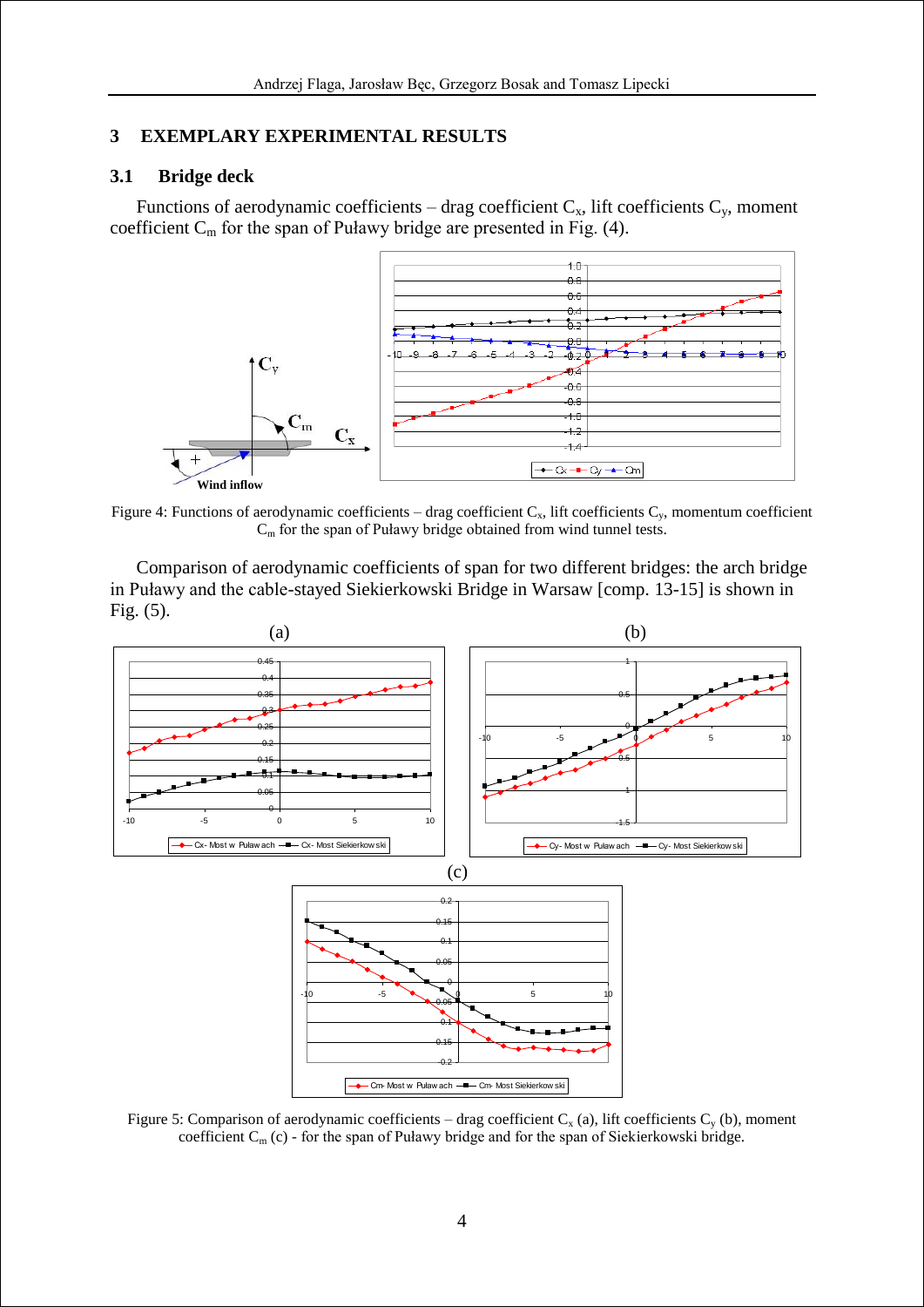## **3 EXEMPLARY EXPERIMENTAL RESULTS**

## **3.1 Bridge deck**

Functions of aerodynamic coefficients – drag coefficient  $C_x$ , lift coefficients  $C_y$ , moment coefficient  $C_m$  for the span of Puławy bridge are presented in Fig. (4).



Figure 4: Functions of aerodynamic coefficients – drag coefficient  $C_x$ , lift coefficients  $C_y$ , momentum coefficient C<sub>m</sub> for the span of Puławy bridge obtained from wind tunnel tests.

Comparison of aerodynamic coefficients of span for two different bridges: the arch bridge in Puławy and the cable-stayed Siekierkowski Bridge in Warsaw [comp. 13-15] is shown in Fig. (5).



Figure 5: Comparison of aerodynamic coefficients – drag coefficient  $C_x$  (a), lift coefficients  $C_y$  (b), moment coefficient  $C_m$  (c) - for the span of Puławy bridge and for the span of Siekierkowski bridge.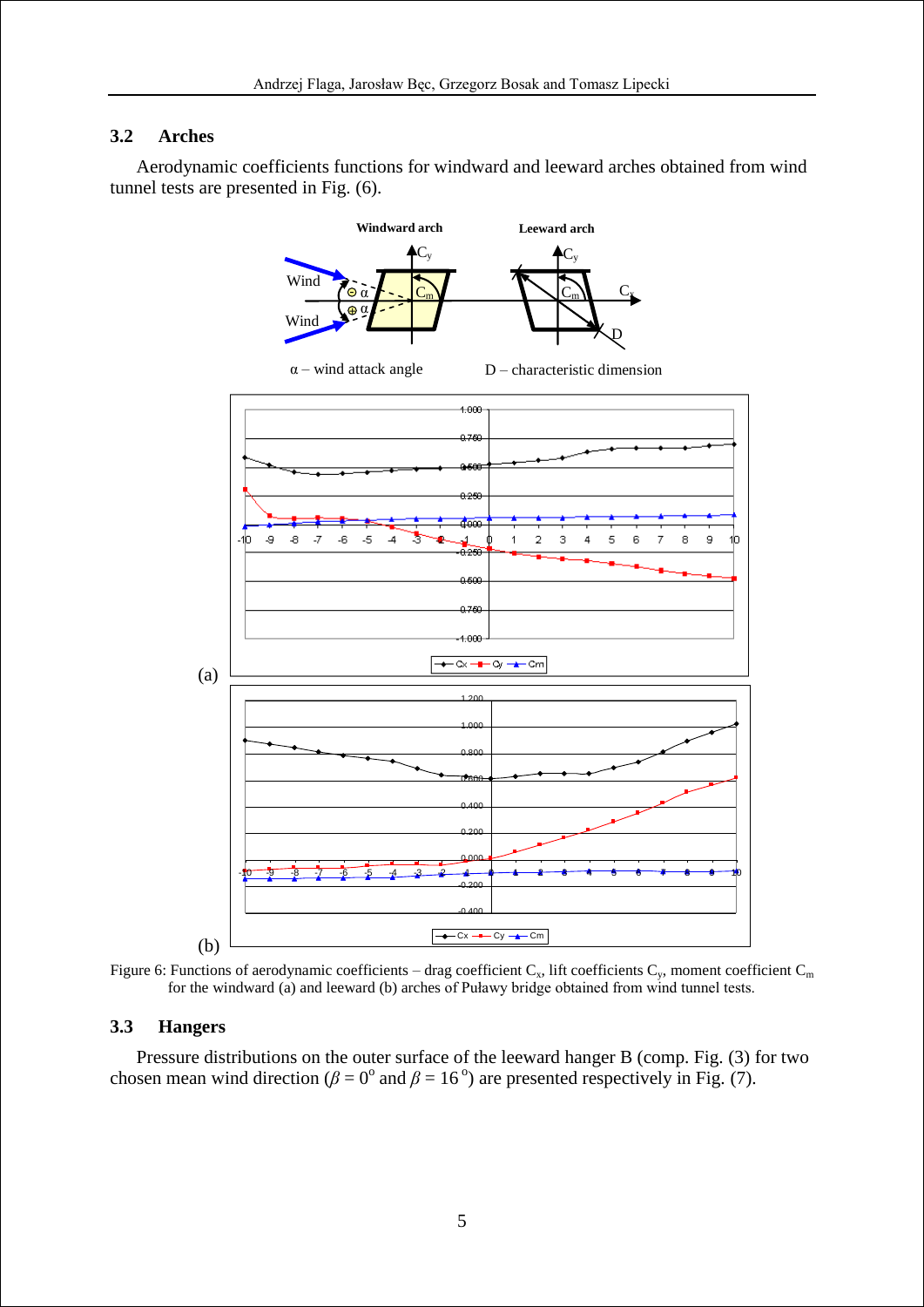### **3.2 Arches**

Aerodynamic coefficients functions for windward and leeward arches obtained from wind tunnel tests are presented in Fig. (6).



Figure 6: Functions of aerodynamic coefficients – drag coefficient  $C_x$ , lift coefficients  $C_y$ , moment coefficient  $C_m$ for the windward (a) and leeward (b) arches of Puławy bridge obtained from wind tunnel tests.

### **3.3 Hangers**

Pressure distributions on the outer surface of the leeward hanger B (comp. Fig. (3) for two chosen mean wind direction ( $\beta = 0^{\circ}$  and  $\beta = 16^{\circ}$ ) are presented respectively in Fig. (7).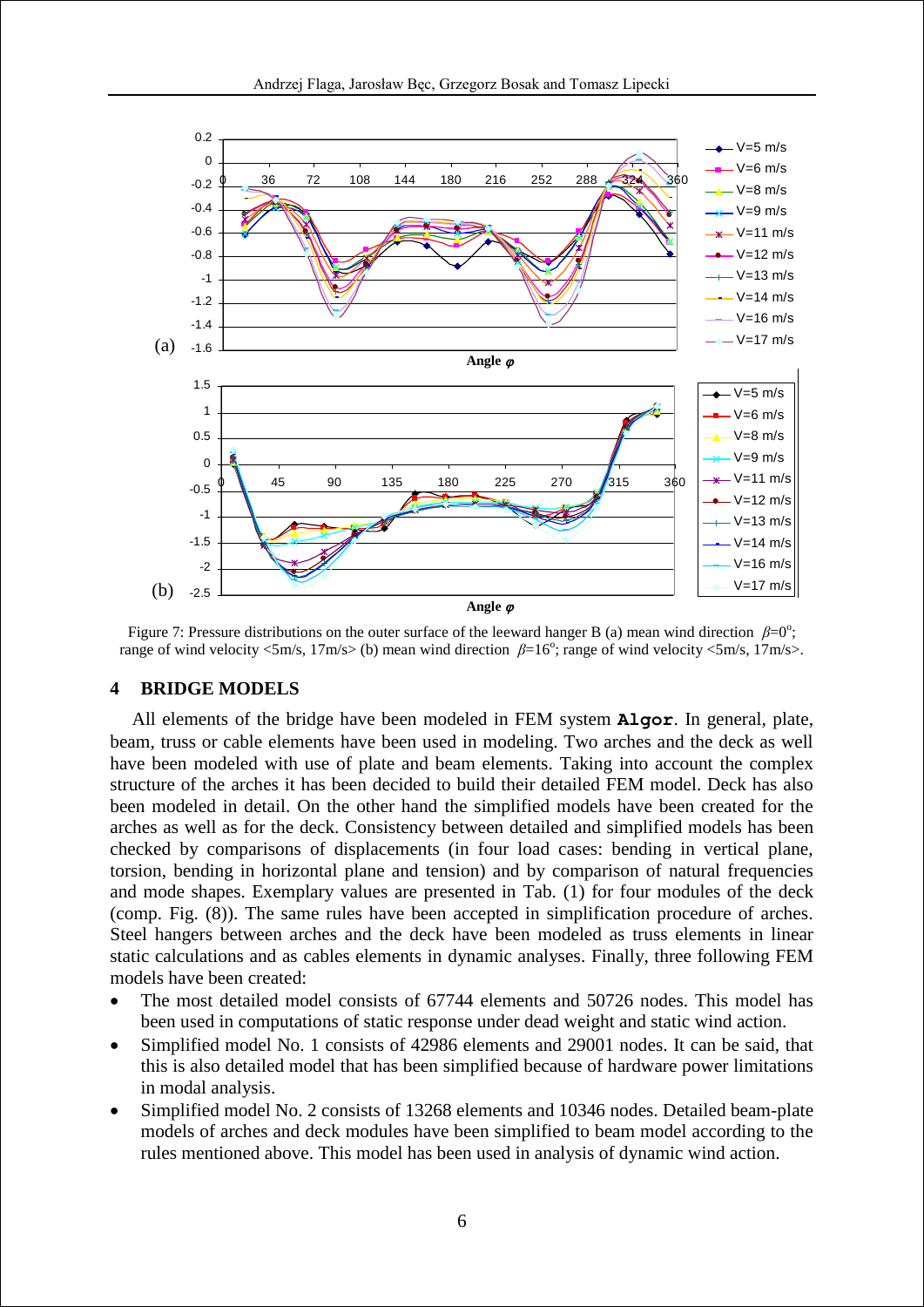

Figure 7: Pressure distributions on the outer surface of the leeward hanger B (a) mean wind direction  $\beta=0^\circ$ ; range of wind velocity  $\langle 5m/s, 17m/s \rangle$  (b) mean wind direction  $\beta = 16^\circ$ ; range of wind velocity  $\langle 5m/s, 17m/s \rangle$ .

#### **4 BRIDGE MODELS**

All elements of the bridge have been modeled in FEM system **Algor**. In general, plate, beam, truss or cable elements have been used in modeling. Two arches and the deck as well have been modeled with use of plate and beam elements. Taking into account the complex structure of the arches it has been decided to build their detailed FEM model. Deck has also been modeled in detail. On the other hand the simplified models have been created for the arches as well as for the deck. Consistency between detailed and simplified models has been checked by comparisons of displacements (in four load cases: bending in vertical plane, torsion, bending in horizontal plane and tension) and by comparison of natural frequencies and mode shapes. Exemplary values are presented in Tab. (1) for four modules of the deck (comp. Fig. (8)). The same rules have been accepted in simplification procedure of arches. Steel hangers between arches and the deck have been modeled as truss elements in linear static calculations and as cables elements in dynamic analyses. Finally, three following FEM models have been created:

- The most detailed model consists of 67744 elements and 50726 nodes. This model has been used in computations of static response under dead weight and static wind action.
- Simplified model No. 1 consists of 42986 elements and 29001 nodes. It can be said, that this is also detailed model that has been simplified because of hardware power limitations in modal analysis.
- Simplified model No. 2 consists of 13268 elements and 10346 nodes. Detailed beam-plate models of arches and deck modules have been simplified to beam model according to the rules mentioned above. This model has been used in analysis of dynamic wind action.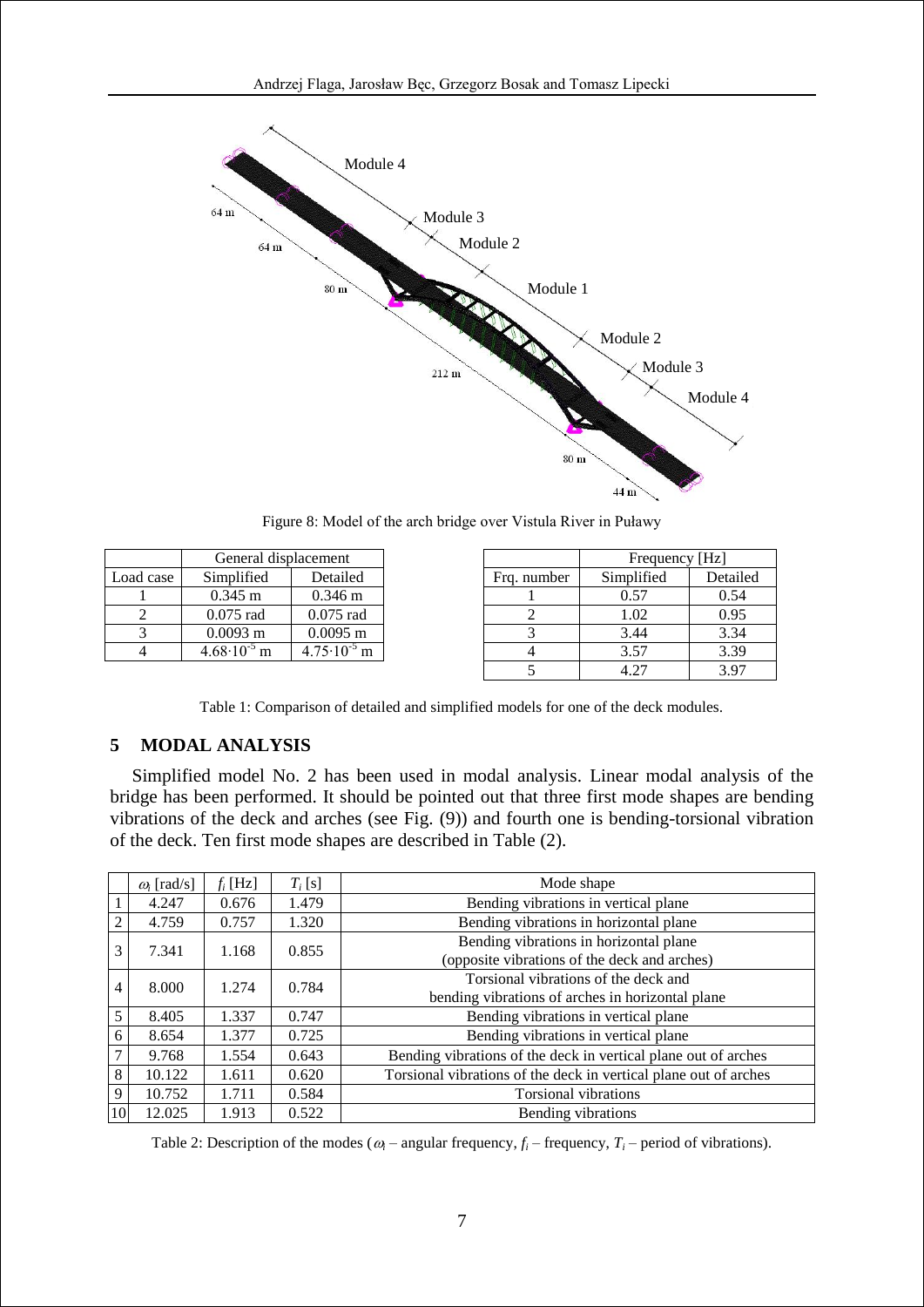

Figure 8: Model of the arch bridge over Vistula River in Puławy

|           | General displacement   |                        |             | Frequency [Hz] |          |
|-----------|------------------------|------------------------|-------------|----------------|----------|
| Load case | Simplified             | Detailed               | Frg. number | Simplified     | Detailed |
|           | $0.345 \text{ m}$      | $0.346 \text{ m}$      |             | 0.57           | 0.54     |
|           | $0.075$ rad            | $0.075$ rad            |             | 1.02           | 0.95     |
|           | $0.0093 \text{ m}$     | $0.0095$ m             |             | 3.44           | 3.34     |
|           | $4.68 \cdot 10^{-5}$ m | $4.75 \cdot 10^{-5}$ m |             | 3.57           | 3.39     |
|           |                        |                        |             | 4.27           | 3.97     |

Table 1: Comparison of detailed and simplified models for one of the deck modules.

## **5 MODAL ANALYSIS**

Simplified model No. 2 has been used in modal analysis. Linear modal analysis of the bridge has been performed. It should be pointed out that three first mode shapes are bending vibrations of the deck and arches (see Fig. (9)) and fourth one is bending-torsional vibration of the deck. Ten first mode shapes are described in Table (2).

|    | $\omega_i$ [rad/s] | $f_i$ [Hz] | $T_i$ [s] | Mode shape                                                                               |
|----|--------------------|------------|-----------|------------------------------------------------------------------------------------------|
|    | 4.247              | 0.676      | 1.479     | Bending vibrations in vertical plane                                                     |
| 2  | 4.759              | 0.757      | 1.320     | Bending vibrations in horizontal plane                                                   |
| 3  | 7.341              | 1.168      | 0.855     | Bending vibrations in horizontal plane<br>(opposite vibrations of the deck and arches)   |
| 4  | 8.000              | 1.274      | 0.784     | Torsional vibrations of the deck and<br>bending vibrations of arches in horizontal plane |
| 5  | 8.405              | 1.337      | 0.747     | Bending vibrations in vertical plane                                                     |
| 6  | 8.654              | 1.377      | 0.725     | Bending vibrations in vertical plane                                                     |
| 7  | 9.768              | 1.554      | 0.643     | Bending vibrations of the deck in vertical plane out of arches                           |
| 8  | 10.122             | 1.611      | 0.620     | Torsional vibrations of the deck in vertical plane out of arches                         |
| 9  | 10.752             | 1.711      | 0.584     | <b>Torsional vibrations</b>                                                              |
| 10 | 12.025             | 1.913      | 0.522     | Bending vibrations                                                                       |

Table 2: Description of the modes ( $\omega_i$  – angular frequency,  $f_i$  – frequency,  $T_i$  – period of vibrations).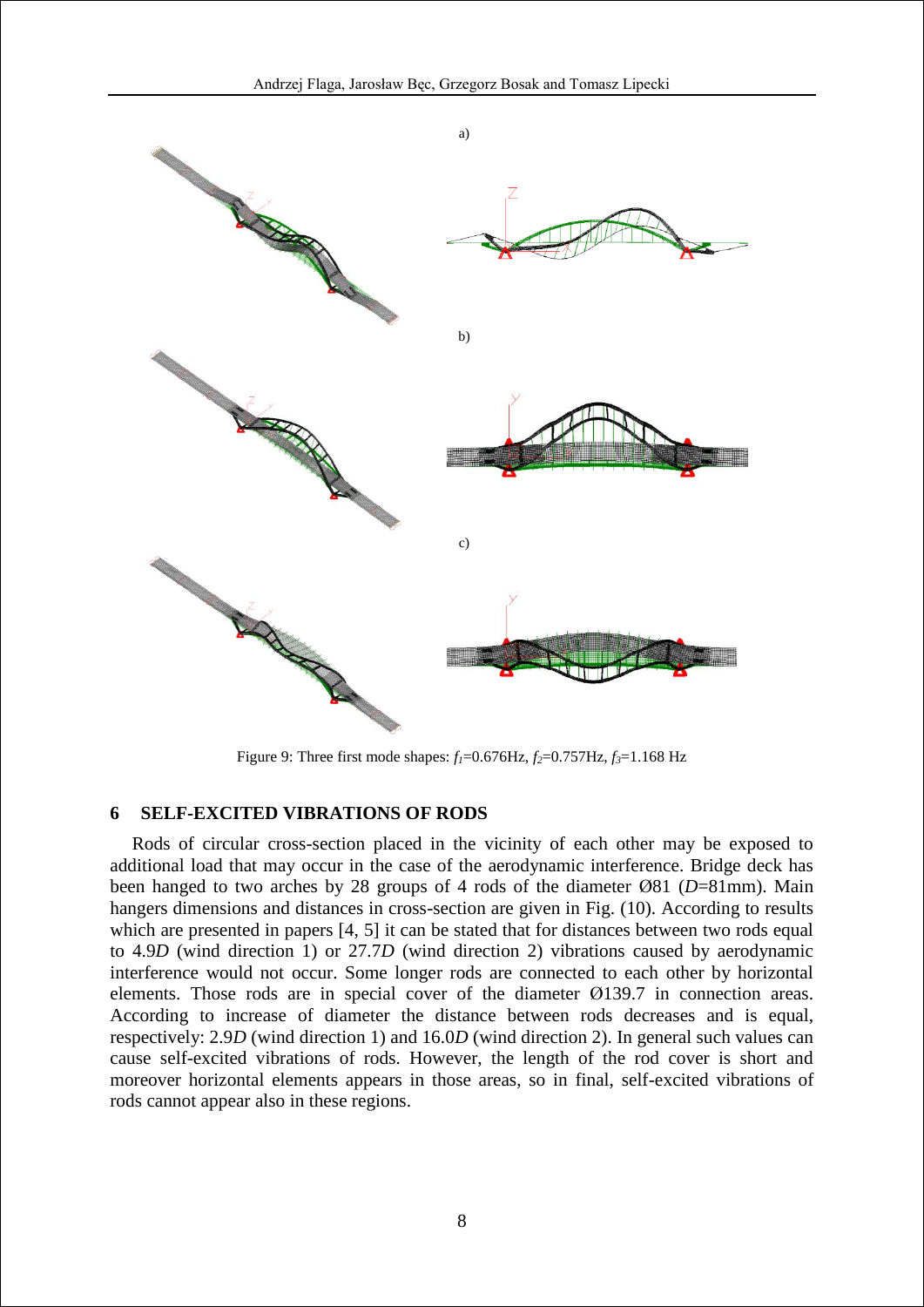

Figure 9: Three first mode shapes:  $f_1 = 0.676$ Hz,  $f_2 = 0.757$ Hz,  $f_3 = 1.168$  Hz

### **6 SELF-EXCITED VIBRATIONS OF RODS**

Rods of circular cross-section placed in the vicinity of each other may be exposed to additional load that may occur in the case of the aerodynamic interference. Bridge deck has been hanged to two arches by 28 groups of 4 rods of the diameter Ø81 (*D*=81mm). Main hangers dimensions and distances in cross-section are given in Fig. (10). According to results which are presented in papers [4, 5] it can be stated that for distances between two rods equal to 4.9*D* (wind direction 1) or 27.7*D* (wind direction 2) vibrations caused by aerodynamic interference would not occur. Some longer rods are connected to each other by horizontal elements. Those rods are in special cover of the diameter Ø139.7 in connection areas. According to increase of diameter the distance between rods decreases and is equal, respectively: 2.9*D* (wind direction 1) and 16.0*D* (wind direction 2). In general such values can cause self-excited vibrations of rods. However, the length of the rod cover is short and moreover horizontal elements appears in those areas, so in final, self-excited vibrations of rods cannot appear also in these regions.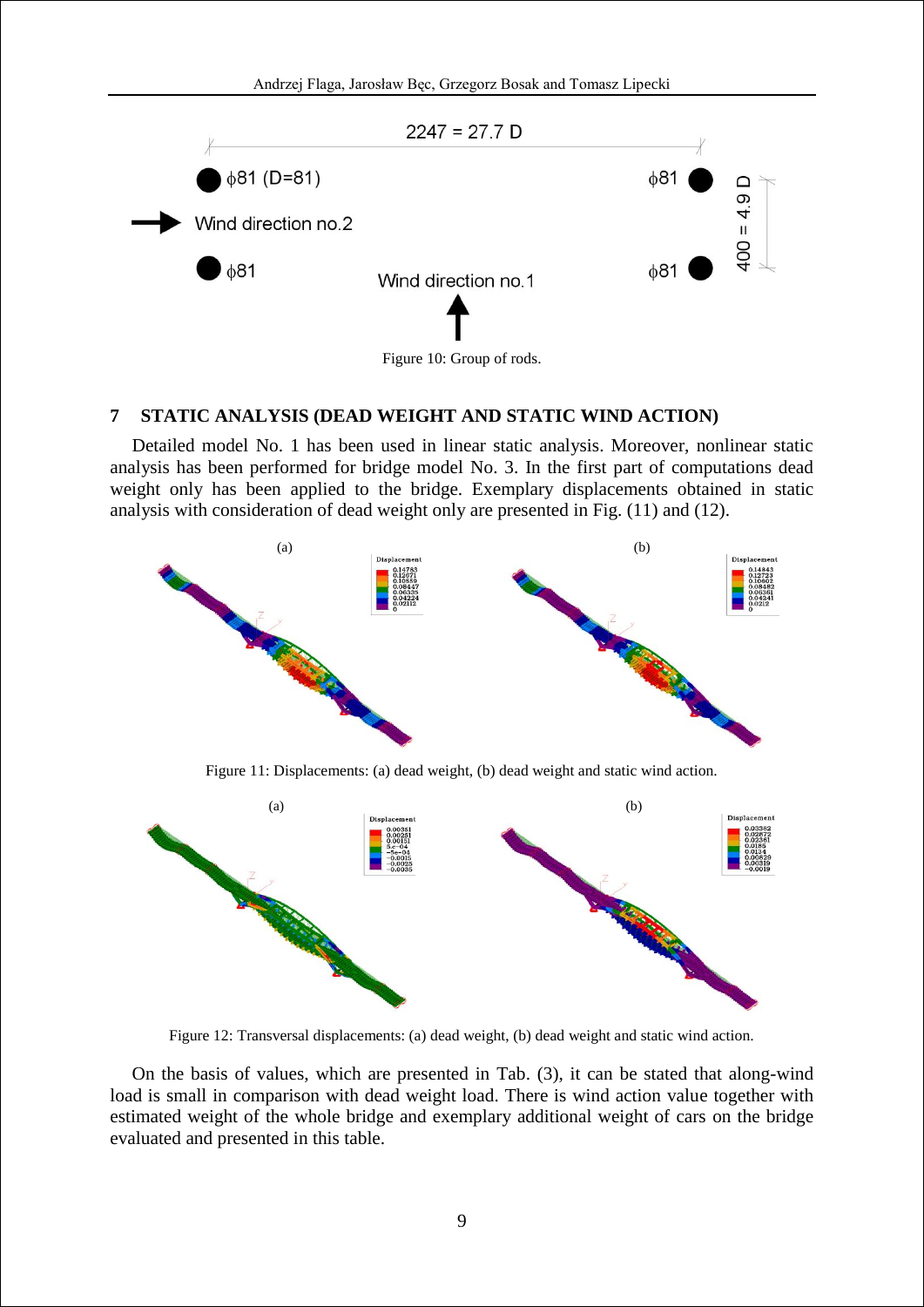

#### **7 STATIC ANALYSIS (DEAD WEIGHT AND STATIC WIND ACTION)**

Detailed model No. 1 has been used in linear static analysis. Moreover, nonlinear static analysis has been performed for bridge model No. 3. In the first part of computations dead weight only has been applied to the bridge. Exemplary displacements obtained in static analysis with consideration of dead weight only are presented in Fig. (11) and (12).



Figure 11: Displacements: (a) dead weight, (b) dead weight and static wind action.



Figure 12: Transversal displacements: (a) dead weight, (b) dead weight and static wind action.

On the basis of values, which are presented in Tab. (3), it can be stated that along-wind load is small in comparison with dead weight load. There is wind action value together with estimated weight of the whole bridge and exemplary additional weight of cars on the bridge evaluated and presented in this table.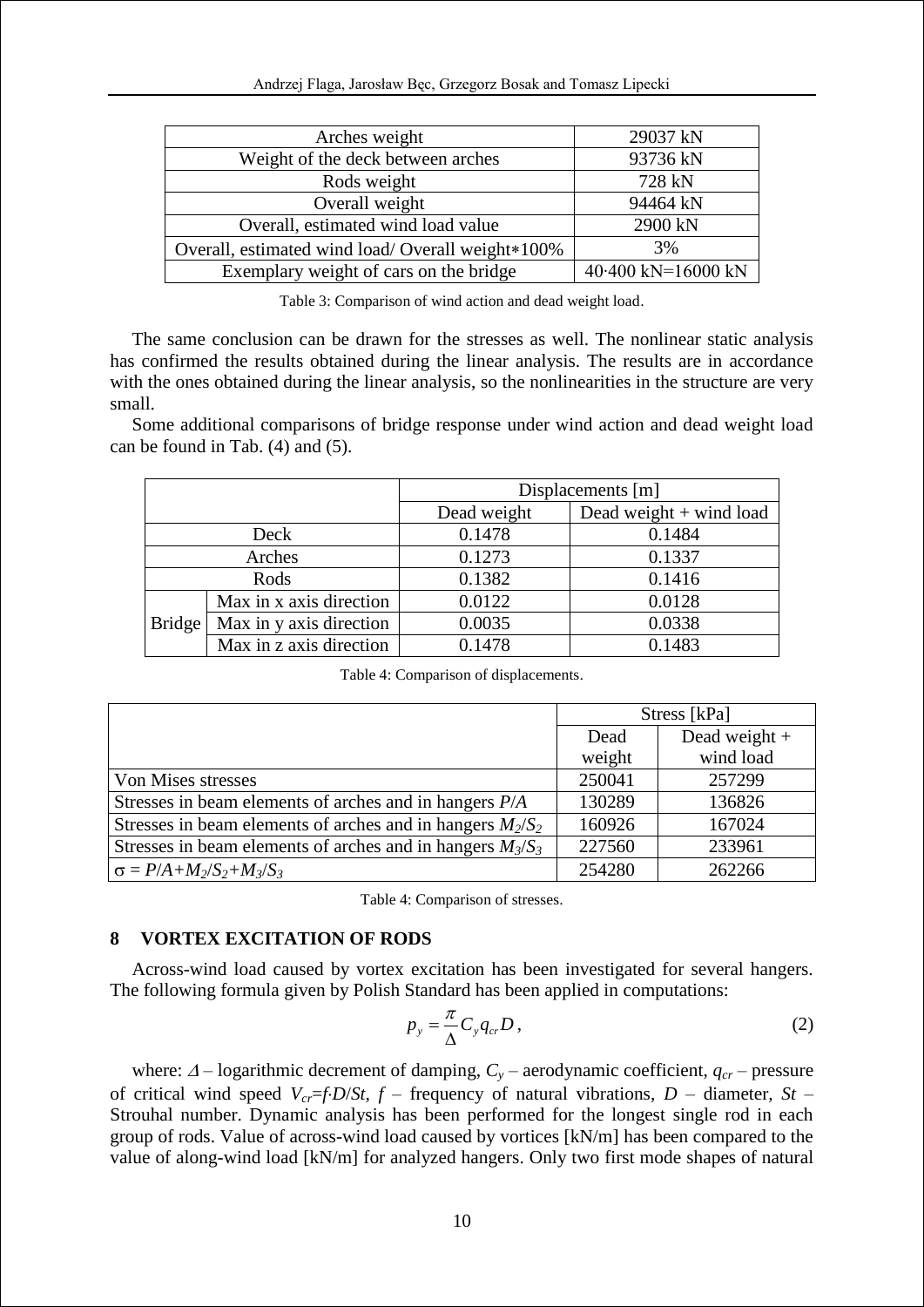| Arches weight                                     | 29037 kN           |
|---------------------------------------------------|--------------------|
| Weight of the deck between arches                 | 93736 kN           |
| Rods weight                                       | 728 kN             |
| Overall weight                                    | 94464 kN           |
| Overall, estimated wind load value                | 2900 kN            |
| Overall, estimated wind load/ Overall weight*100% | 3%                 |
| Exemplary weight of cars on the bridge            | 40.400 kN=16000 kN |

Table 3: Comparison of wind action and dead weight load.

The same conclusion can be drawn for the stresses as well. The nonlinear static analysis has confirmed the results obtained during the linear analysis. The results are in accordance with the ones obtained during the linear analysis, so the nonlinearities in the structure are very small.

Some additional comparisons of bridge response under wind action and dead weight load can be found in Tab. (4) and (5).

|               |                         | Displacements [m] |                           |  |
|---------------|-------------------------|-------------------|---------------------------|--|
|               |                         | Dead weight       | Dead weight $+$ wind load |  |
| Deck          |                         | 0.1478            | 0.1484                    |  |
| Arches        |                         | 0.1273            | 0.1337                    |  |
| Rods          |                         | 0.1382            | 0.1416                    |  |
| <b>Bridge</b> | Max in x axis direction | 0.0122            | 0.0128                    |  |
|               | Max in y axis direction | 0.0035            | 0.0338                    |  |
|               | Max in z axis direction | 0.1478            | 0.1483                    |  |

Table 4: Comparison of displacements.

|                                                              | Stress [kPa] |                 |  |
|--------------------------------------------------------------|--------------|-----------------|--|
|                                                              | Dead         | Dead weight $+$ |  |
|                                                              | weight       | wind load       |  |
| Von Mises stresses                                           | 250041       | 257299          |  |
| Stresses in beam elements of arches and in hangers $P/A$     | 130289       | 136826          |  |
| Stresses in beam elements of arches and in hangers $M_2/S_2$ | 160926       | 167024          |  |
| Stresses in beam elements of arches and in hangers $M_3/S_3$ | 227560       | 233961          |  |
| $\sigma = P/A + M_2/S_2 + M_3/S_3$                           | 254280       | 262266          |  |

Table 4: Comparison of stresses.

### **8 VORTEX EXCITATION OF RODS**

Across-wind load caused by vortex excitation has been investigated for several hangers. The following formula given by Polish Standard has been applied in computations:

$$
p_{y} = \frac{\pi}{\Delta} C_{y} q_{cr} D, \qquad (2)
$$

where:  $\Delta$  – logarithmic decrement of damping,  $C_y$  – aerodynamic coefficient,  $q_{cr}$  – pressure of critical wind speed  $V_{cr}$ =*f*⋅*D*/*St*, *f* – frequency of natural vibrations, *D* – diameter, *St* – Strouhal number. Dynamic analysis has been performed for the longest single rod in each group of rods. Value of across-wind load caused by vortices [kN/m] has been compared to the value of along-wind load [kN/m] for analyzed hangers. Only two first mode shapes of natural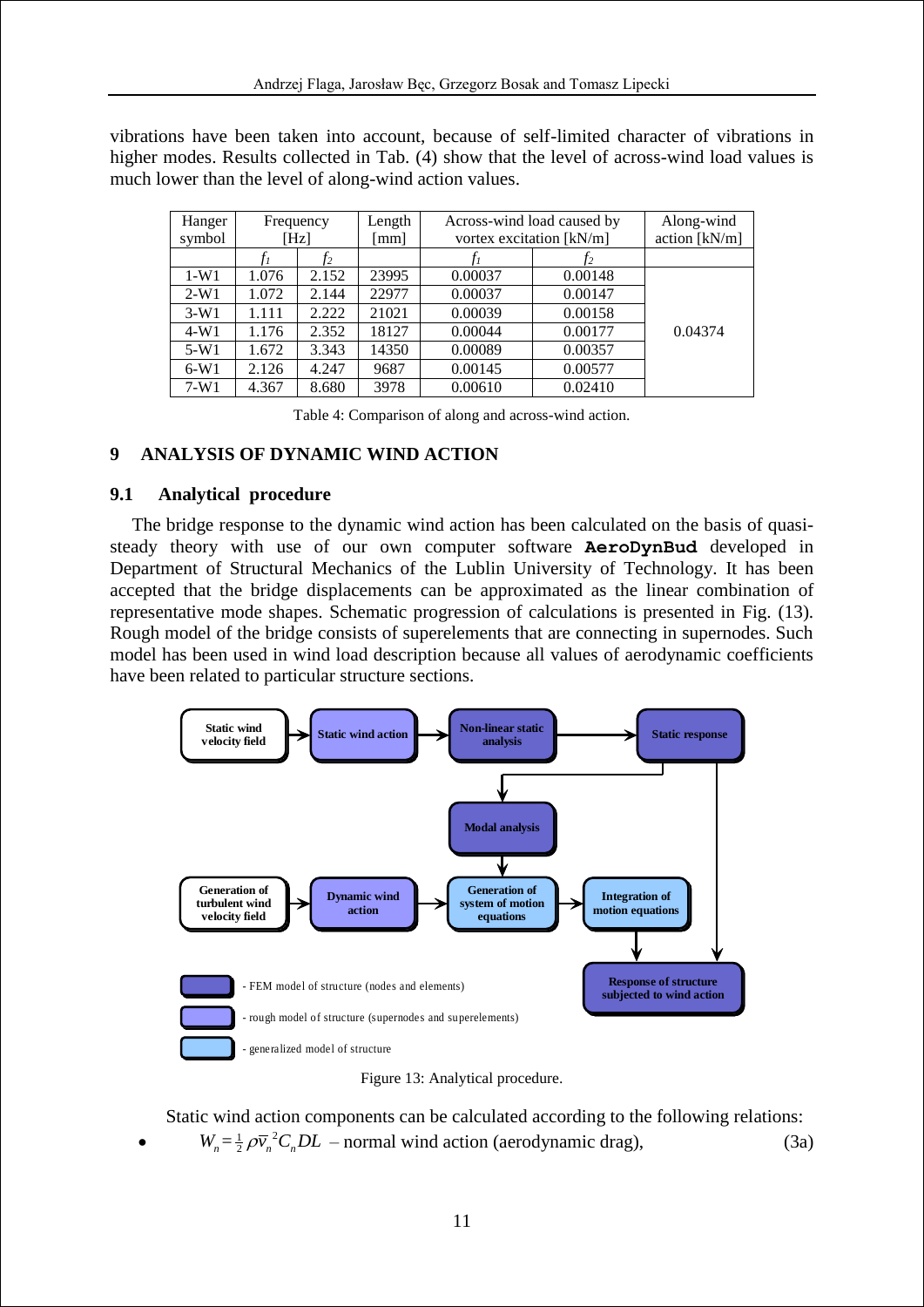vibrations have been taken into account, because of self-limited character of vibrations in higher modes. Results collected in Tab. (4) show that the level of across-wind load values is much lower than the level of along-wind action values.

| Hanger | Frequency |       | Length | Across-wind load caused by |         | Along-wind    |
|--------|-----------|-------|--------|----------------------------|---------|---------------|
| symbol | [Hz]      |       | [mm]   | vortex excitation [kN/m]   |         | action [kN/m] |
|        |           | Ť2    |        |                            | Ť2      |               |
| $1-W1$ | 1.076     | 2.152 | 23995  | 0.00037                    | 0.00148 |               |
| $2-W1$ | 1.072     | 2.144 | 22977  | 0.00037                    | 0.00147 |               |
| $3-W1$ | 1.111     | 2.222 | 21021  | 0.00039                    | 0.00158 |               |
| $4-W1$ | 1.176     | 2.352 | 18127  | 0.00044                    | 0.00177 | 0.04374       |
| $5-W1$ | 1.672     | 3.343 | 14350  | 0.00089                    | 0.00357 |               |
| $6-W1$ | 2.126     | 4.247 | 9687   | 0.00145                    | 0.00577 |               |
| $7-W1$ | 4.367     | 8.680 | 3978   | 0.00610                    | 0.02410 |               |

Table 4: Comparison of along and across-wind action.

# **9 ANALYSIS OF DYNAMIC WIND ACTION**

### **9.1 Analytical procedure**

 $\bullet$ 

The bridge response to the dynamic wind action has been calculated on the basis of quasisteady theory with use of our own computer software **AeroDynBud** developed in Department of Structural Mechanics of the Lublin University of Technology. It has been accepted that the bridge displacements can be approximated as the linear combination of representative mode shapes. Schematic progression of calculations is presented in Fig. (13). Rough model of the bridge consists of superelements that are connecting in supernodes. Such model has been used in wind load description because all values of aerodynamic coefficients have been related to particular structure sections.



Figure 13: Analytical procedure.

Static wind action components can be calculated according to the following relations:

 $W_n = \frac{1}{2} \rho \overline{v}_n^2 C_n D L$  – normal wind action (aerodynamic drag), (3a)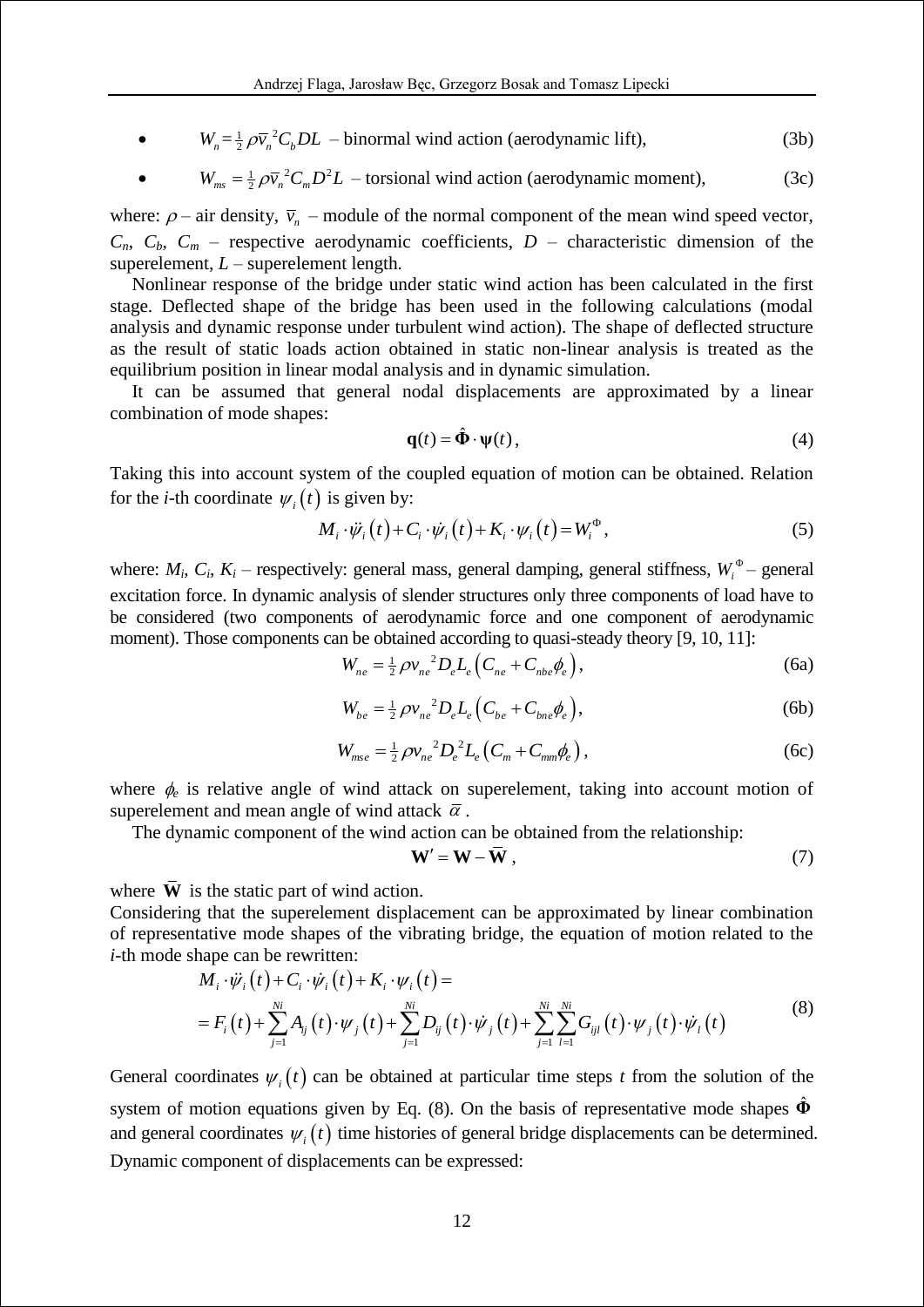$\bullet$  $W_n = \frac{1}{2} \rho \overline{v_n}^2 C_b D L$  – binormal wind action (aerodynamic lift), (3b)

• 
$$
W_{ms} = \frac{1}{2} \rho \overline{v}_n^2 C_m D^2 L
$$
 - torsional wind action (aerodynamic moment), (3c)

where:  $\rho$  – air density,  $\bar{v}_n$  – module of the normal component of the mean wind speed vector,  $C_n$ ,  $C_b$ ,  $C_m$  – respective aerodynamic coefficients,  $D$  – characteristic dimension of the superelement, *L* – superelement length.

Nonlinear response of the bridge under static wind action has been calculated in the first stage. Deflected shape of the bridge has been used in the following calculations (modal analysis and dynamic response under turbulent wind action). The shape of deflected structure as the result of static loads action obtained in static non-linear analysis is treated as the equilibrium position in linear modal analysis and in dynamic simulation.

It can be assumed that general nodal displacements are approximated by a linear combination of mode shapes:

$$
\mathbf{q}(t) = \hat{\mathbf{\Phi}} \cdot \mathbf{\psi}(t),\tag{4}
$$

Taking this into account system of the coupled equation of motion can be obtained. Relation for the *i*-th coordinate  $\psi_i(t)$  is given by:

) is given by:  
\n
$$
M_i \cdot \ddot{\psi}_i(t) + C_i \cdot \dot{\psi}_i(t) + K_i \cdot \psi_i(t) = W_i^{\Phi},
$$
\n(5)

where:  $M_i$ ,  $C_i$ ,  $K_i$  – respectively: general mass, general damping, general stiffness,  $W_i^{\Phi}$  – general excitation force. In dynamic analysis of slender structures only three components of load have to be considered (two components of aerodynamic force and one component of aerodynamic moment). Those components can be obtained according to quasi-steady theory [9, 10, 11]:<br>  $W_{ne} = \frac{1}{2} \rho v_{ne}^2 D_e L_e (C_{ne} + C_{nbe} \phi_e),$  (6a)

$$
W_{ne} = \frac{1}{2} \rho v_{ne}^2 D_e L_e (C_{ne} + C_{nbe} \phi_e),
$$
 (6a)

$$
W_{be} = \frac{1}{2} \rho v_{ne}^2 D_e L_e (C_{be} + C_{bne} \phi_e),
$$
 (6b)

$$
W_{mse} = \frac{1}{2} \rho v_{ne}^2 D_e^2 L_e (C_m + C_{mm} \phi_e),
$$
 (6c)

where  $\phi_e$  is relative angle of wind attack on superelement, taking into account motion of superelement and mean angle of wind attack  $\bar{\alpha}$ .

The dynamic component of the wind action can be obtained from the relationship:

$$
\mathbf{W}' = \mathbf{W} - \bar{\mathbf{W}} \tag{7}
$$

where **W** is the static part of wind action.

Considering that the superelement displacement can be approximated by linear combination

Considering that the superelement displacement can be approximated by linear combination  
of representative mode shapes of the vibrating bridge, the equation of motion related to the  
*i*-th mode shape can be rewritten:  

$$
M_i \cdot \ddot{\psi}_i(t) + C_i \cdot \dot{\psi}_i(t) + K_i \cdot \psi_i(t) =
$$

$$
= F_i(t) + \sum_{j=1}^{N_i} A_{ij}(t) \cdot \psi_j(t) + \sum_{j=1}^{N_i} D_{ij}(t) \cdot \dot{\psi}_j(t) + \sum_{j=1}^{N_i} \sum_{l=1}^{N_l} G_{ijl}(t) \cdot \psi_j(t) \cdot \dot{\psi}_l(t)
$$
(8)

General coordinates  $\psi_i(t)$  can be obtained at particular time steps *t* from the solution of the system of motion equations given by Eq.  $(8)$ . On the basis of representative mode shapes  $\hat{\Phi}$ and general coordinates  $\psi_i(t)$  time histories of general bridge displacements can be determined. Dynamic component of displacements can be expressed: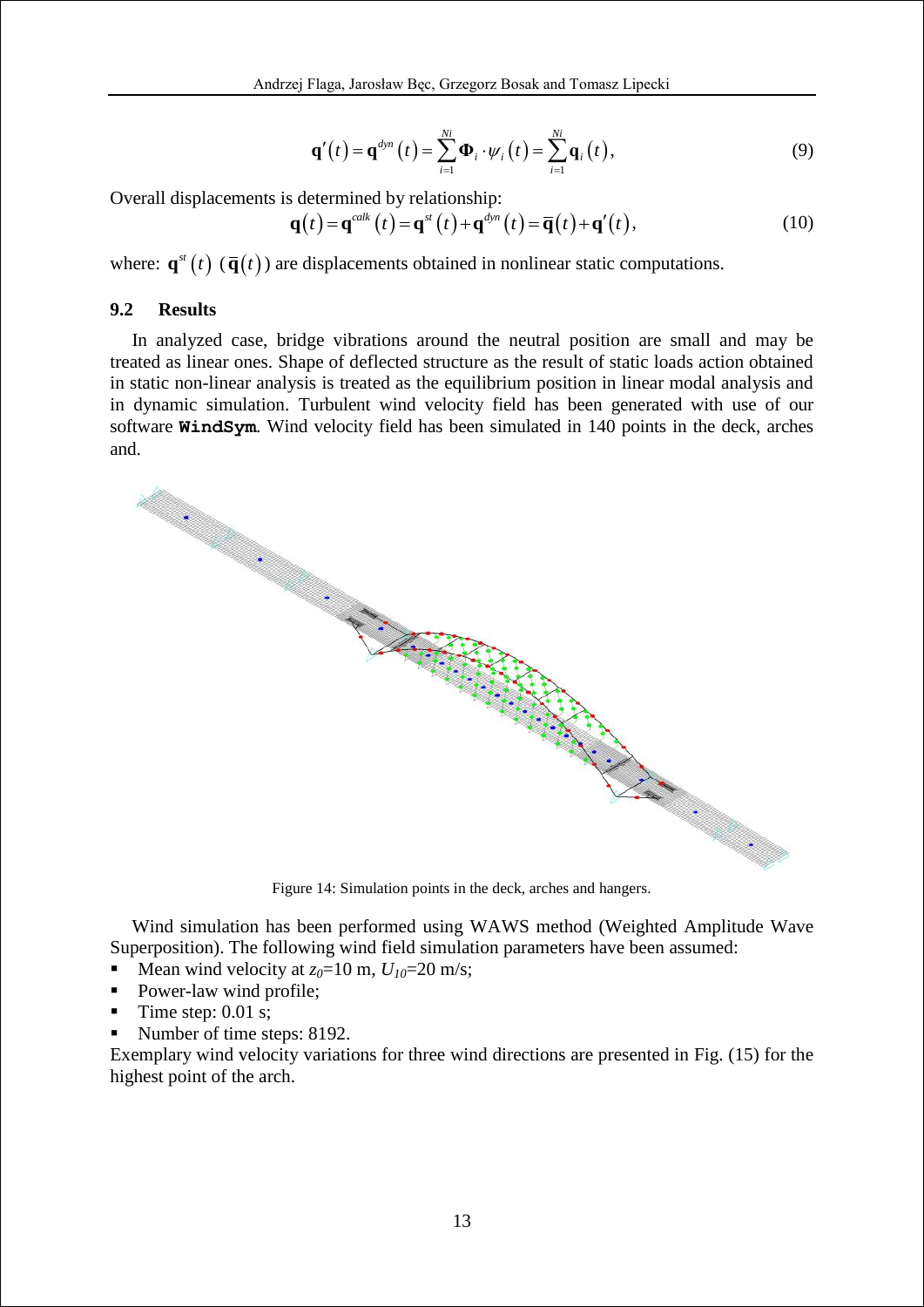$$
\mathbf{q}'(t) = \mathbf{q}^{dyn}(t) = \sum_{i=1}^{N_i} \mathbf{\Phi}_i \cdot \psi_i(t) = \sum_{i=1}^{N_i} \mathbf{q}_i(t),
$$
\n(9)

Overall displacements is determined by relationship:  
\n
$$
\mathbf{q}(t) = \mathbf{q}^{calc}(t) = \mathbf{q}^{st}(t) + \mathbf{q}^{dyn}(t) = \overline{\mathbf{q}}(t) + \mathbf{q}'(t),
$$
\n(10)

where:  $\mathbf{q}^{st}(t)$  ( $\overline{\mathbf{q}}(t)$ ) are displacements obtained in nonlinear static computations.

### **9.2 Results**

In analyzed case, bridge vibrations around the neutral position are small and may be treated as linear ones. Shape of deflected structure as the result of static loads action obtained in static non-linear analysis is treated as the equilibrium position in linear modal analysis and in dynamic simulation. Turbulent wind velocity field has been generated with use of our software **WindSym**. Wind velocity field has been simulated in 140 points in the deck, arches and.



Wind simulation has been performed using WAWS method (Weighted Amplitude Wave Superposition). The following wind field simulation parameters have been assumed:

- Mean wind velocity at  $z_0$ =10 m,  $U_{10}$ =20 m/s;
- Power-law wind profile;
- $\blacksquare$  Time step: 0.01 s;
- Number of time steps: 8192.

Exemplary wind velocity variations for three wind directions are presented in Fig. (15) for the highest point of the arch.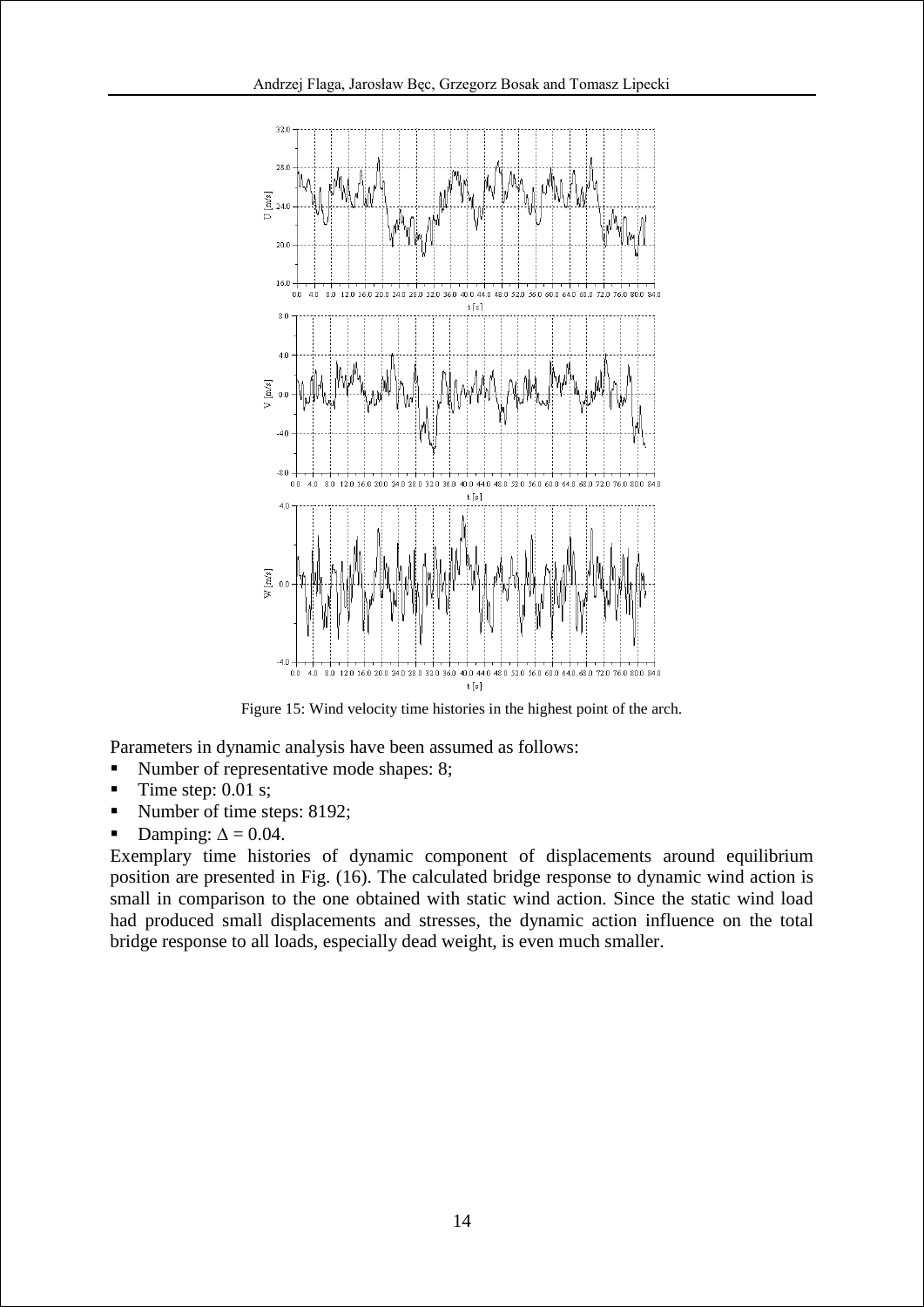

Figure 15: Wind velocity time histories in the highest point of the arch.

Parameters in dynamic analysis have been assumed as follows:

- Number of representative mode shapes: 8;
- Time step: 0.01 s;
- Number of time steps: 8192;
- Damping:  $\Delta = 0.04$ .

Exemplary time histories of dynamic component of displacements around equilibrium position are presented in Fig. (16). The calculated bridge response to dynamic wind action is small in comparison to the one obtained with static wind action. Since the static wind load had produced small displacements and stresses, the dynamic action influence on the total bridge response to all loads, especially dead weight, is even much smaller.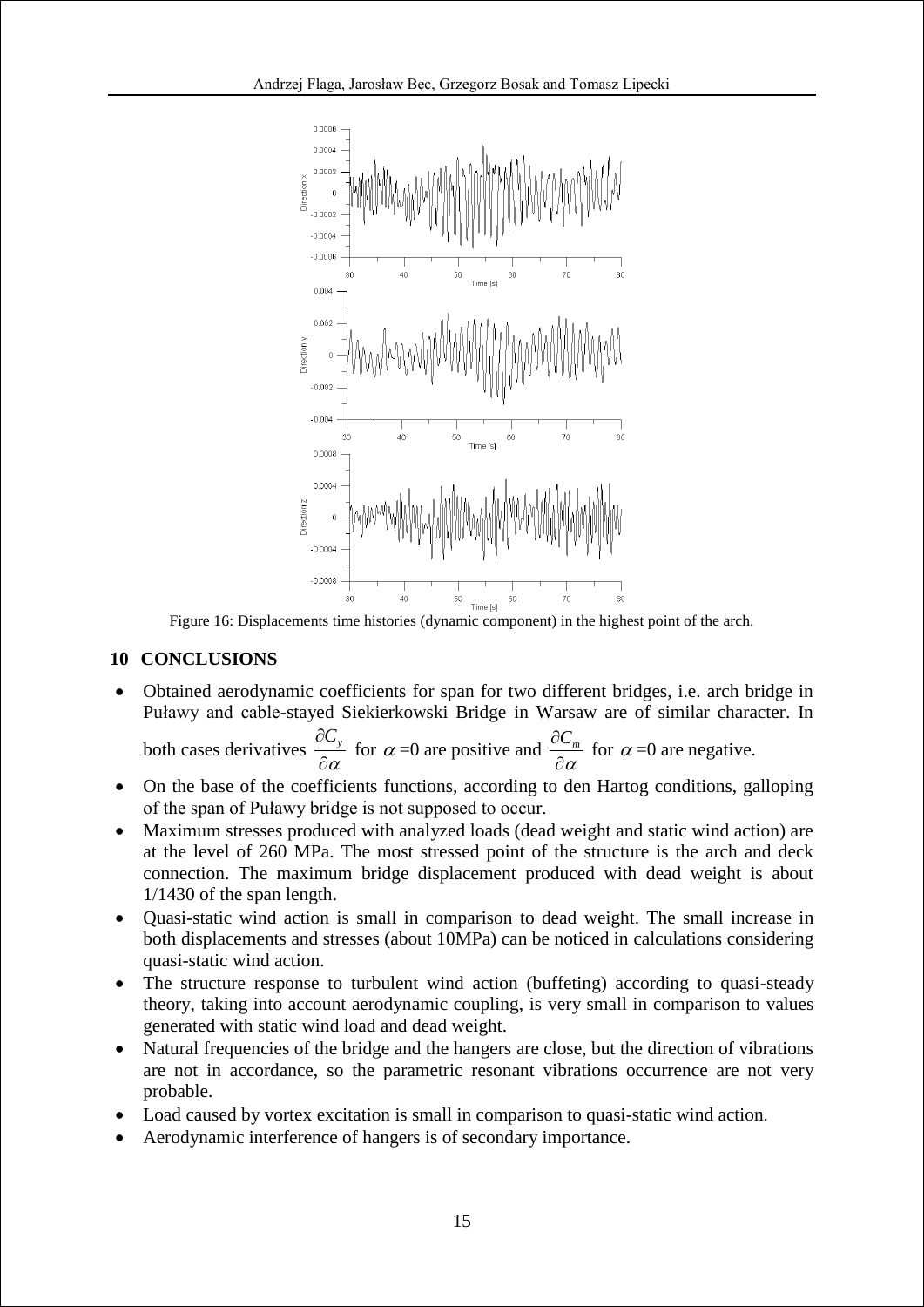

Figure 16: Displacements time histories (dynamic component) in the highest point of the arch.

# **10 CONCLUSIONS**

 Obtained aerodynamic coefficients for span for two different bridges, i.e. arch bridge in Puławy and cable-stayed Siekierkowski Bridge in Warsaw are of similar character. In

both cases derivatives 
$$
\frac{\partial C_y}{\partial \alpha}
$$
 for  $\alpha = 0$  are positive and  $\frac{\partial C_m}{\partial \alpha}$  for  $\alpha = 0$  are negative.

- On the base of the coefficients functions, according to den Hartog conditions, galloping of the span of Puławy bridge is not supposed to occur.
- Maximum stresses produced with analyzed loads (dead weight and static wind action) are at the level of 260 MPa. The most stressed point of the structure is the arch and deck connection. The maximum bridge displacement produced with dead weight is about 1/1430 of the span length.
- Quasi-static wind action is small in comparison to dead weight. The small increase in both displacements and stresses (about 10MPa) can be noticed in calculations considering quasi-static wind action.
- The structure response to turbulent wind action (buffeting) according to quasi-steady theory, taking into account aerodynamic coupling, is very small in comparison to values generated with static wind load and dead weight.
- Natural frequencies of the bridge and the hangers are close, but the direction of vibrations are not in accordance, so the parametric resonant vibrations occurrence are not very probable.
- Load caused by vortex excitation is small in comparison to quasi-static wind action.
- Aerodynamic interference of hangers is of secondary importance.